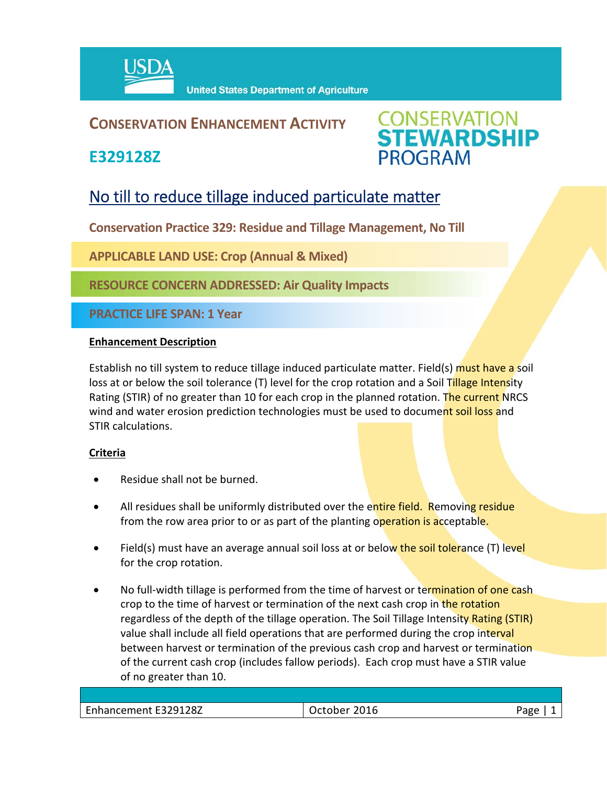

## **CONSERVATION ENHANCEMENT ACTIVITY**

**E329128Z**



# No till to reduce tillage induced particulate matter

**Conservation Practice 329: Residue and Tillage Management, No Till** 

**APPLICABLE LAND USE: Crop (Annual & Mixed)** 

**RESOURCE CONCERN ADDRESSED: Air Quality Impacts**

**PRACTICE LIFE SPAN: 1 Year**

#### **Enhancement Description**

Establish no till system to reduce tillage induced particulate matter. Field(s) must have a soil loss at or below the soil tolerance (T) level for the crop rotation and a Soil Tillage Intensity Rating (STIR) of no greater than 10 for each crop in the planned rotation. The current NRCS wind and water erosion prediction technologies must be used to document soil loss and STIR calculations.

### **Criteria**

- Residue shall not be burned.
- All residues shall be uniformly distributed over the entire field. Removing residue from the row area prior to or as part of the planting operation is acceptable.
- Field(s) must have an average annual soil loss at or below the soil tolerance (T) level for the crop rotation.
- No full-width tillage is performed from the time of harvest or termination of one cash crop to the time of harvest or termination of the next cash crop in the rotation regardless of the depth of the tillage operation. The Soil Tillage Intensity Rating (STIR) value shall include all field operations that are performed during the crop interval between harvest or termination of the previous cash crop and harvest or termination of the current cash crop (includes fallow periods). Each crop must have a STIR value of no greater than 10.

| Enhancement E329128Z | 2016<br>)ctober<br>,, | פמנΩ |
|----------------------|-----------------------|------|
|                      |                       |      |